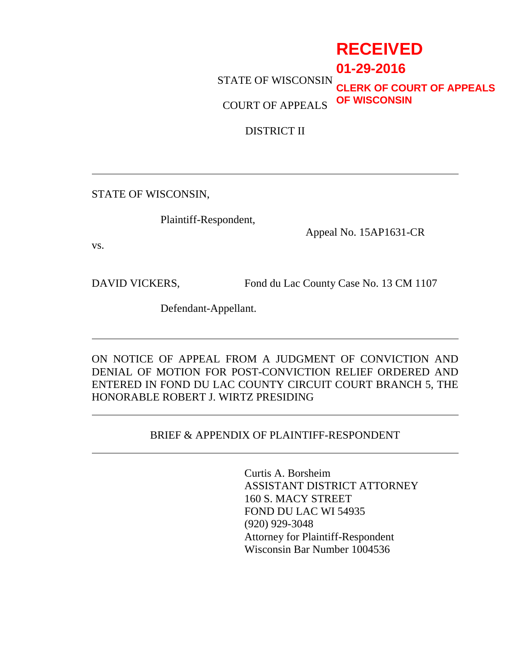# **RECEIVED**

 STATE OF WISCONSIN **01-29-2016**

 COURT OF APPEALS **CLERK OF COURT OF APPEALS OF WISCONSIN**

DISTRICT II

STATE OF WISCONSIN,

Plaintiff-Respondent,

Appeal No. 15AP1631-CR

vs.

 $\overline{\phantom{a}}$ 

 $\overline{\phantom{a}}$ 

 $\overline{\phantom{a}}$ 

DAVID VICKERS, Fond du Lac County Case No. 13 CM 1107

Defendant-Appellant.

ON NOTICE OF APPEAL FROM A JUDGMENT OF CONVICTION AND DENIAL OF MOTION FOR POST-CONVICTION RELIEF ORDERED AND ENTERED IN FOND DU LAC COUNTY CIRCUIT COURT BRANCH 5, THE HONORABLE ROBERT J. WIRTZ PRESIDING

## BRIEF & APPENDIX OF PLAINTIFF-RESPONDENT l

Curtis A. Borsheim ASSISTANT DISTRICT ATTORNEY 160 S. MACY STREET FOND DU LAC WI 54935 (920) 929-3048 Attorney for Plaintiff-Respondent Wisconsin Bar Number 1004536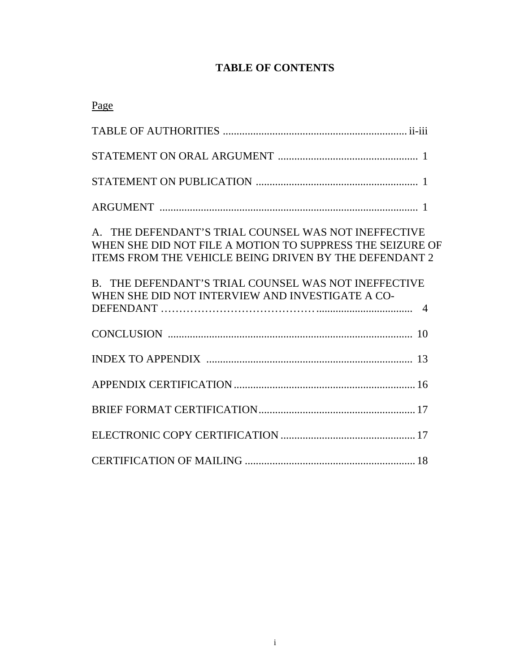## **TABLE OF CONTENTS**

| Page                                                                                                                                                                        |
|-----------------------------------------------------------------------------------------------------------------------------------------------------------------------------|
|                                                                                                                                                                             |
|                                                                                                                                                                             |
|                                                                                                                                                                             |
|                                                                                                                                                                             |
| A. THE DEFENDANT'S TRIAL COUNSEL WAS NOT INEFFECTIVE<br>WHEN SHE DID NOT FILE A MOTION TO SUPPRESS THE SEIZURE OF<br>ITEMS FROM THE VEHICLE BEING DRIVEN BY THE DEFENDANT 2 |
| B. THE DEFENDANT'S TRIAL COUNSEL WAS NOT INEFFECTIVE<br>WHEN SHE DID NOT INTERVIEW AND INVESTIGATE A CO-                                                                    |
|                                                                                                                                                                             |
|                                                                                                                                                                             |
|                                                                                                                                                                             |
|                                                                                                                                                                             |
|                                                                                                                                                                             |
|                                                                                                                                                                             |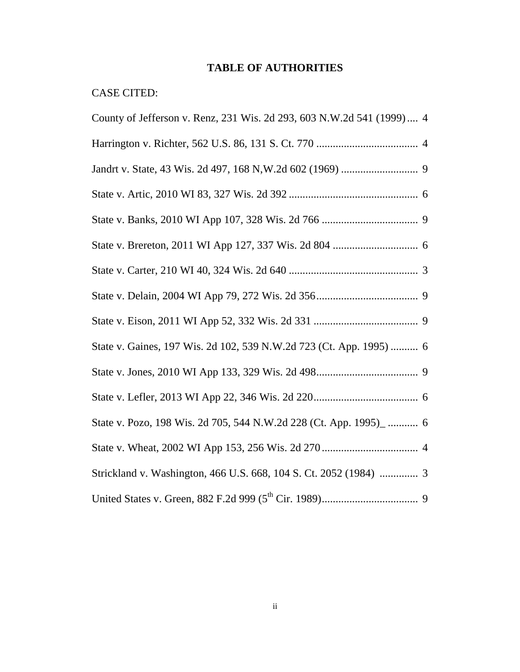## **TABLE OF AUTHORITIES**

## CASE CITED:

| County of Jefferson v. Renz, 231 Wis. 2d 293, 603 N.W.2d 541 (1999) 4 |
|-----------------------------------------------------------------------|
|                                                                       |
|                                                                       |
|                                                                       |
|                                                                       |
|                                                                       |
|                                                                       |
|                                                                       |
|                                                                       |
| State v. Gaines, 197 Wis. 2d 102, 539 N.W.2d 723 (Ct. App. 1995)  6   |
|                                                                       |
|                                                                       |
| State v. Pozo, 198 Wis. 2d 705, 544 N.W.2d 228 (Ct. App. 1995)_  6    |
|                                                                       |
| Strickland v. Washington, 466 U.S. 668, 104 S. Ct. 2052 (1984)  3     |
|                                                                       |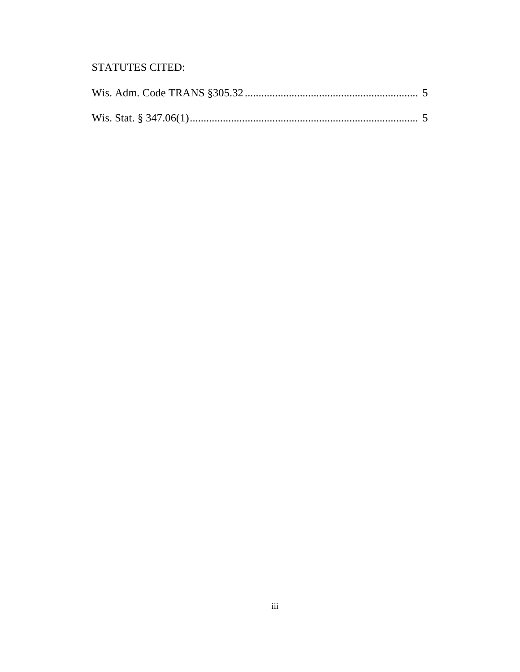## **STATUTES CITED:**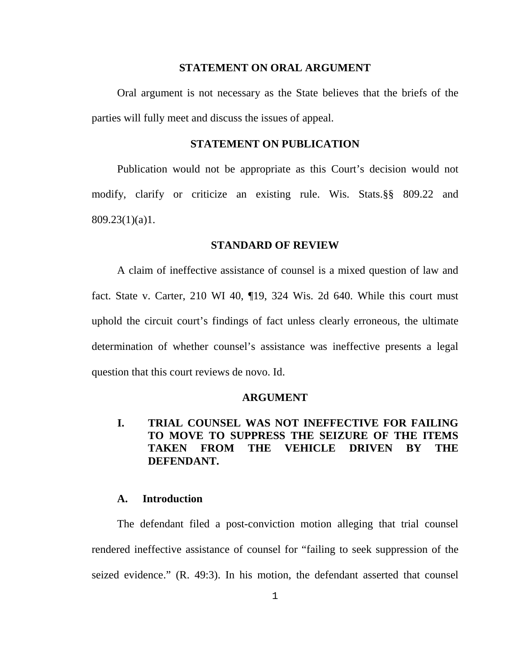#### **STATEMENT ON ORAL ARGUMENT**

 Oral argument is not necessary as the State believes that the briefs of the parties will fully meet and discuss the issues of appeal.

#### **STATEMENT ON PUBLICATION**

 Publication would not be appropriate as this Court's decision would not modify, clarify or criticize an existing rule. Wis. Stats.§§ 809.22 and 809.23(1)(a)1.

#### **STANDARD OF REVIEW**

 A claim of ineffective assistance of counsel is a mixed question of law and fact. State v. Carter, 210 WI 40, ¶19, 324 Wis. 2d 640. While this court must uphold the circuit court's findings of fact unless clearly erroneous, the ultimate determination of whether counsel's assistance was ineffective presents a legal question that this court reviews de novo. Id.

#### **ARGUMENT**

## **I. TRIAL COUNSEL WAS NOT INEFFECTIVE FOR FAILING TO MOVE TO SUPPRESS THE SEIZURE OF THE ITEMS TAKEN FROM THE VEHICLE DRIVEN BY THE DEFENDANT.**

### **A. Introduction**

 The defendant filed a post-conviction motion alleging that trial counsel rendered ineffective assistance of counsel for "failing to seek suppression of the seized evidence." (R. 49:3). In his motion, the defendant asserted that counsel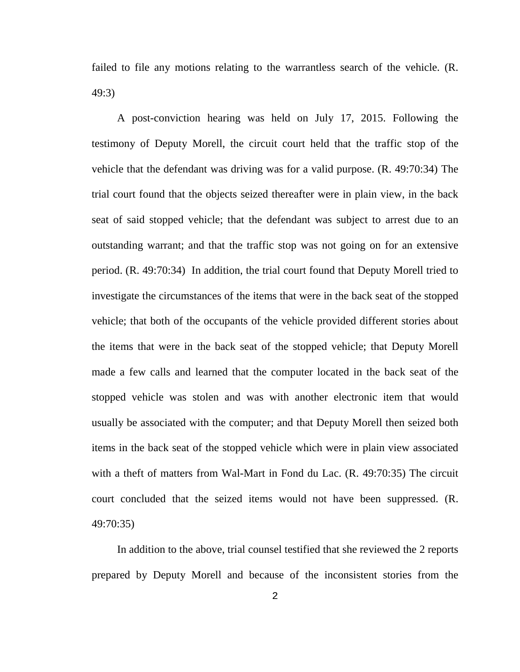failed to file any motions relating to the warrantless search of the vehicle. (R. 49:3)

 A post-conviction hearing was held on July 17, 2015. Following the testimony of Deputy Morell, the circuit court held that the traffic stop of the vehicle that the defendant was driving was for a valid purpose. (R. 49:70:34) The trial court found that the objects seized thereafter were in plain view, in the back seat of said stopped vehicle; that the defendant was subject to arrest due to an outstanding warrant; and that the traffic stop was not going on for an extensive period. (R. 49:70:34) In addition, the trial court found that Deputy Morell tried to investigate the circumstances of the items that were in the back seat of the stopped vehicle; that both of the occupants of the vehicle provided different stories about the items that were in the back seat of the stopped vehicle; that Deputy Morell made a few calls and learned that the computer located in the back seat of the stopped vehicle was stolen and was with another electronic item that would usually be associated with the computer; and that Deputy Morell then seized both items in the back seat of the stopped vehicle which were in plain view associated with a theft of matters from Wal-Mart in Fond du Lac. (R. 49:70:35) The circuit court concluded that the seized items would not have been suppressed. (R. 49:70:35)

 In addition to the above, trial counsel testified that she reviewed the 2 reports prepared by Deputy Morell and because of the inconsistent stories from the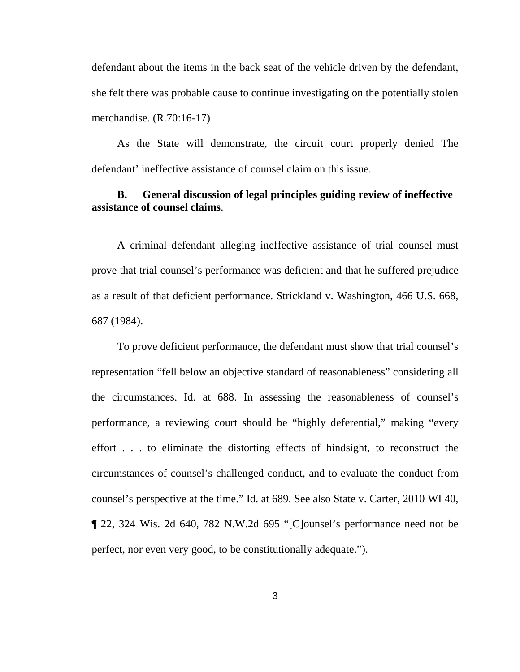defendant about the items in the back seat of the vehicle driven by the defendant, she felt there was probable cause to continue investigating on the potentially stolen merchandise. (R.70:16-17)

 As the State will demonstrate, the circuit court properly denied The defendant' ineffective assistance of counsel claim on this issue.

## **B. General discussion of legal principles guiding review of ineffective assistance of counsel claims**.

 A criminal defendant alleging ineffective assistance of trial counsel must prove that trial counsel's performance was deficient and that he suffered prejudice as a result of that deficient performance. Strickland v. Washington, 466 U.S. 668, 687 (1984).

 To prove deficient performance, the defendant must show that trial counsel's representation "fell below an objective standard of reasonableness" considering all the circumstances. Id. at 688. In assessing the reasonableness of counsel's performance, a reviewing court should be "highly deferential," making "every effort . . . to eliminate the distorting effects of hindsight, to reconstruct the circumstances of counsel's challenged conduct, and to evaluate the conduct from counsel's perspective at the time." Id. at 689. See also State v. Carter, 2010 WI 40, ¶ 22, 324 Wis. 2d 640, 782 N.W.2d 695 "[C]ounsel's performance need not be perfect, nor even very good, to be constitutionally adequate.").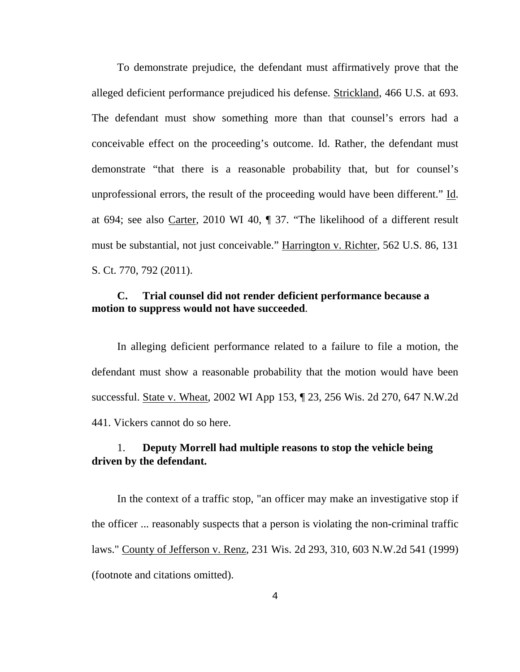To demonstrate prejudice, the defendant must affirmatively prove that the alleged deficient performance prejudiced his defense. Strickland, 466 U.S. at 693. The defendant must show something more than that counsel's errors had a conceivable effect on the proceeding's outcome. Id. Rather, the defendant must demonstrate "that there is a reasonable probability that, but for counsel's unprofessional errors, the result of the proceeding would have been different." Id. at 694; see also Carter, 2010 WI 40, ¶ 37. "The likelihood of a different result must be substantial, not just conceivable." Harrington v. Richter, 562 U.S. 86, 131 S. Ct. 770, 792 (2011).

## **C. Trial counsel did not render deficient performance because a motion to suppress would not have succeeded**.

 In alleging deficient performance related to a failure to file a motion, the defendant must show a reasonable probability that the motion would have been successful. State v. Wheat, 2002 WI App 153, ¶ 23, 256 Wis. 2d 270, 647 N.W.2d 441. Vickers cannot do so here.

## 1. **Deputy Morrell had multiple reasons to stop the vehicle being driven by the defendant.**

 In the context of a traffic stop, "an officer may make an investigative stop if the officer ... reasonably suspects that a person is violating the non-criminal traffic laws." County of Jefferson v. Renz, 231 Wis. 2d 293, 310, 603 N.W.2d 541 (1999) (footnote and citations omitted).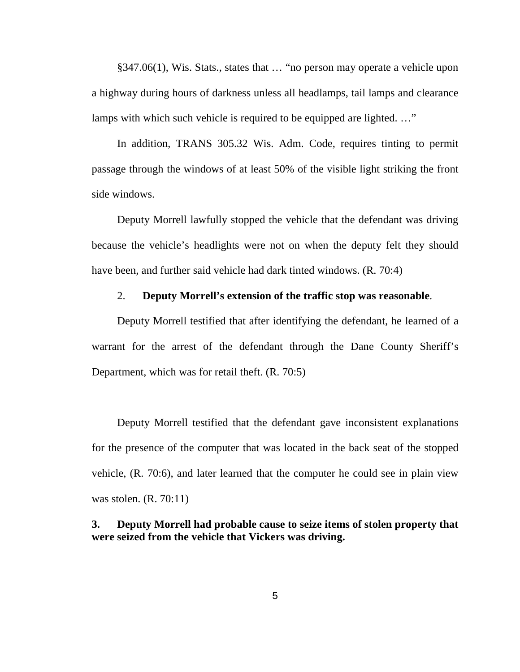§347.06(1), Wis. Stats., states that … "no person may operate a vehicle upon a highway during hours of darkness unless all headlamps, tail lamps and clearance lamps with which such vehicle is required to be equipped are lighted. ..."

 In addition, TRANS 305.32 Wis. Adm. Code, requires tinting to permit passage through the windows of at least 50% of the visible light striking the front side windows.

 Deputy Morrell lawfully stopped the vehicle that the defendant was driving because the vehicle's headlights were not on when the deputy felt they should have been, and further said vehicle had dark tinted windows. (R. 70:4)

### 2. **Deputy Morrell's extension of the traffic stop was reasonable**.

 Deputy Morrell testified that after identifying the defendant, he learned of a warrant for the arrest of the defendant through the Dane County Sheriff's Department, which was for retail theft. (R. 70:5)

 Deputy Morrell testified that the defendant gave inconsistent explanations for the presence of the computer that was located in the back seat of the stopped vehicle, (R. 70:6), and later learned that the computer he could see in plain view was stolen. (R. 70:11)

## **3. Deputy Morrell had probable cause to seize items of stolen property that were seized from the vehicle that Vickers was driving.**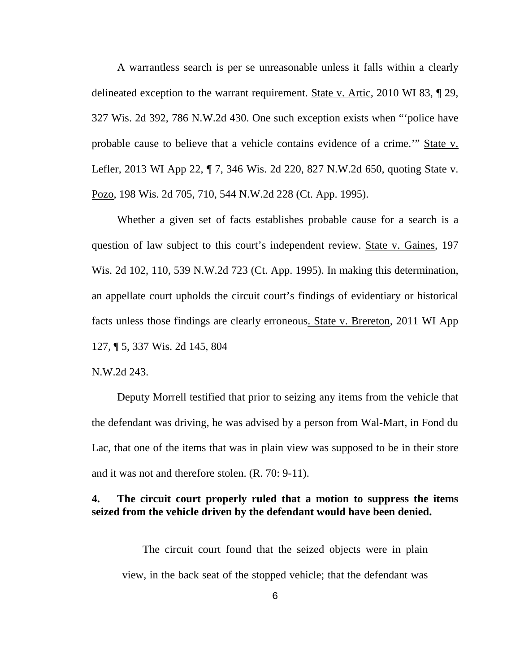A warrantless search is per se unreasonable unless it falls within a clearly delineated exception to the warrant requirement. State v. Artic, 2010 WI 83, ¶ 29, 327 Wis. 2d 392, 786 N.W.2d 430. One such exception exists when "'police have probable cause to believe that a vehicle contains evidence of a crime.'" State v. Lefler, 2013 WI App 22, ¶ 7, 346 Wis. 2d 220, 827 N.W.2d 650, quoting State v. Pozo, 198 Wis. 2d 705, 710, 544 N.W.2d 228 (Ct. App. 1995).

 Whether a given set of facts establishes probable cause for a search is a question of law subject to this court's independent review. State v. Gaines, 197 Wis. 2d 102, 110, 539 N.W.2d 723 (Ct. App. 1995). In making this determination, an appellate court upholds the circuit court's findings of evidentiary or historical facts unless those findings are clearly erroneous. State v. Brereton, 2011 WI App 127, ¶ 5, 337 Wis. 2d 145, 804

N.W.2d 243.

 Deputy Morrell testified that prior to seizing any items from the vehicle that the defendant was driving, he was advised by a person from Wal-Mart, in Fond du Lac, that one of the items that was in plain view was supposed to be in their store and it was not and therefore stolen. (R. 70: 9-11).

## **4. The circuit court properly ruled that a motion to suppress the items seized from the vehicle driven by the defendant would have been denied.**

 The circuit court found that the seized objects were in plain view, in the back seat of the stopped vehicle; that the defendant was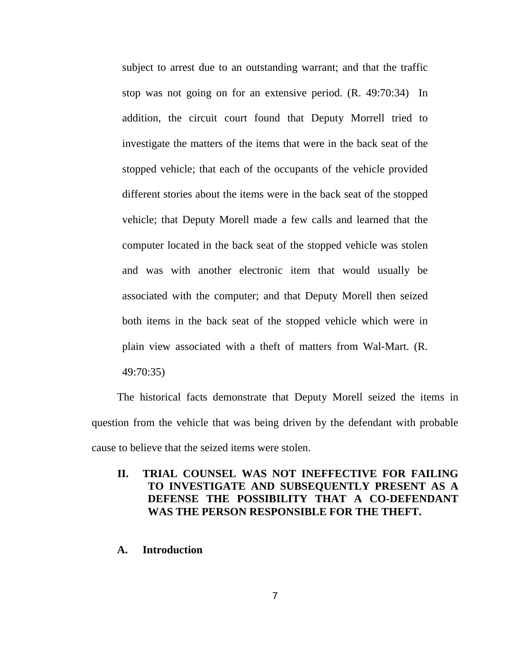subject to arrest due to an outstanding warrant; and that the traffic stop was not going on for an extensive period. (R. 49:70:34) In addition, the circuit court found that Deputy Morrell tried to investigate the matters of the items that were in the back seat of the stopped vehicle; that each of the occupants of the vehicle provided different stories about the items were in the back seat of the stopped vehicle; that Deputy Morell made a few calls and learned that the computer located in the back seat of the stopped vehicle was stolen and was with another electronic item that would usually be associated with the computer; and that Deputy Morell then seized both items in the back seat of the stopped vehicle which were in plain view associated with a theft of matters from Wal-Mart. (R.

49:70:35)

 The historical facts demonstrate that Deputy Morell seized the items in question from the vehicle that was being driven by the defendant with probable cause to believe that the seized items were stolen.

## **II. TRIAL COUNSEL WAS NOT INEFFECTIVE FOR FAILING TO INVESTIGATE AND SUBSEQUENTLY PRESENT AS A DEFENSE THE POSSIBILITY THAT A CO-DEFENDANT WAS THE PERSON RESPONSIBLE FOR THE THEFT.**

### **A. Introduction**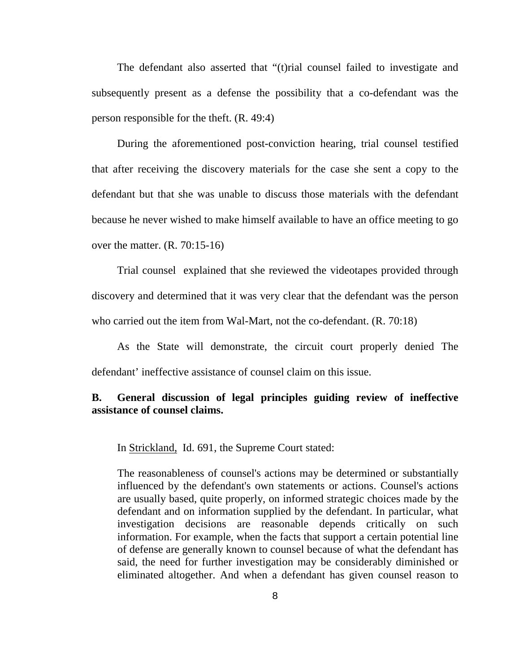The defendant also asserted that "(t)rial counsel failed to investigate and subsequently present as a defense the possibility that a co-defendant was the person responsible for the theft. (R. 49:4)

 During the aforementioned post-conviction hearing, trial counsel testified that after receiving the discovery materials for the case she sent a copy to the defendant but that she was unable to discuss those materials with the defendant because he never wished to make himself available to have an office meeting to go over the matter. (R. 70:15-16)

 Trial counsel explained that she reviewed the videotapes provided through discovery and determined that it was very clear that the defendant was the person who carried out the item from Wal-Mart, not the co-defendant. (R. 70:18)

 As the State will demonstrate, the circuit court properly denied The defendant' ineffective assistance of counsel claim on this issue.

## **B. General discussion of legal principles guiding review of ineffective assistance of counsel claims.**

In Strickland, Id. 691, the Supreme Court stated:

The reasonableness of counsel's actions may be determined or substantially influenced by the defendant's own statements or actions. Counsel's actions are usually based, quite properly, on informed strategic choices made by the defendant and on information supplied by the defendant. In particular, what investigation decisions are reasonable depends critically on such information. For example, when the facts that support a certain potential line of defense are generally known to counsel because of what the defendant has said, the need for further investigation may be considerably diminished or eliminated altogether. And when a defendant has given counsel reason to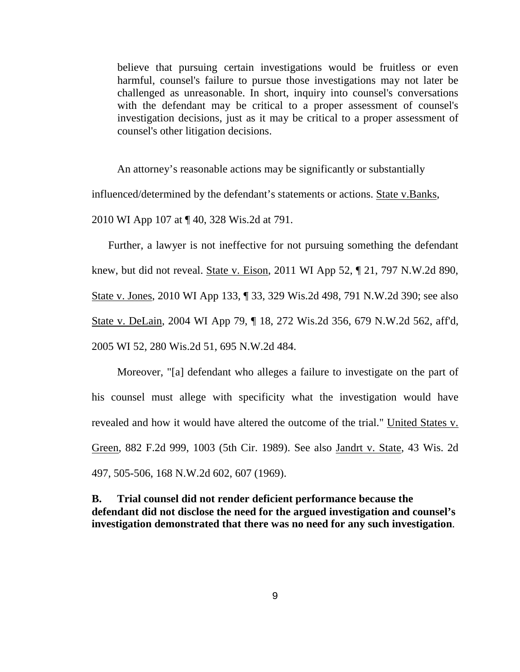believe that pursuing certain investigations would be fruitless or even harmful, counsel's failure to pursue those investigations may not later be challenged as unreasonable. In short, inquiry into counsel's conversations with the defendant may be critical to a proper assessment of counsel's investigation decisions, just as it may be critical to a proper assessment of counsel's other litigation decisions.

 An attorney's reasonable actions may be significantly or substantially influenced/determined by the defendant's statements or actions. State v.Banks, 2010 WI App 107 at ¶ 40, 328 Wis.2d at 791.

 Further, a lawyer is not ineffective for not pursuing something the defendant knew, but did not reveal. State v. Eison, 2011 WI App 52, ¶ 21, 797 N.W.2d 890, State v. Jones, 2010 WI App 133, ¶ 33, 329 Wis.2d 498, 791 N.W.2d 390; see also State v. DeLain, 2004 WI App 79, ¶ 18, 272 Wis.2d 356, 679 N.W.2d 562, aff'd, 2005 WI 52, 280 Wis.2d 51, 695 N.W.2d 484.

 Moreover, "[a] defendant who alleges a failure to investigate on the part of his counsel must allege with specificity what the investigation would have revealed and how it would have altered the outcome of the trial." United States v. Green, 882 F.2d 999, 1003 (5th Cir. 1989). See also Jandrt v. State, 43 Wis. 2d 497, 505-506, 168 N.W.2d 602, 607 (1969).

**B. Trial counsel did not render deficient performance because the defendant did not disclose the need for the argued investigation and counsel's investigation demonstrated that there was no need for any such investigation**.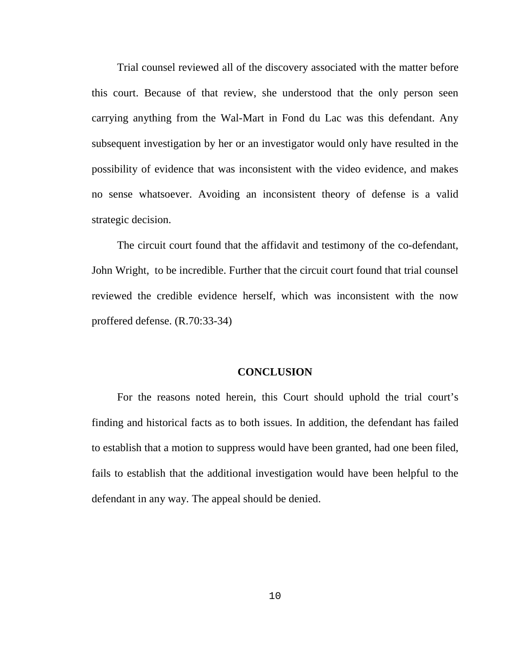Trial counsel reviewed all of the discovery associated with the matter before this court. Because of that review, she understood that the only person seen carrying anything from the Wal-Mart in Fond du Lac was this defendant. Any subsequent investigation by her or an investigator would only have resulted in the possibility of evidence that was inconsistent with the video evidence, and makes no sense whatsoever. Avoiding an inconsistent theory of defense is a valid strategic decision.

 The circuit court found that the affidavit and testimony of the co-defendant, John Wright, to be incredible. Further that the circuit court found that trial counsel reviewed the credible evidence herself, which was inconsistent with the now proffered defense. (R.70:33-34)

#### **CONCLUSION**

 For the reasons noted herein, this Court should uphold the trial court's finding and historical facts as to both issues. In addition, the defendant has failed to establish that a motion to suppress would have been granted, had one been filed, fails to establish that the additional investigation would have been helpful to the defendant in any way. The appeal should be denied.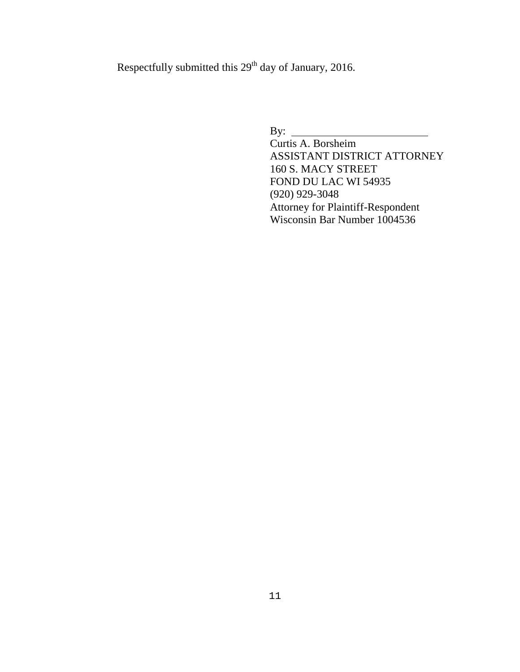Respectfully submitted this 29<sup>th</sup> day of January, 2016.

By:

 Curtis A. Borsheim ASSISTANT DISTRICT ATTORNEY 160 S. MACY STREET FOND DU LAC WI 54935 (920) 929-3048 Attorney for Plaintiff-Respondent Wisconsin Bar Number 1004536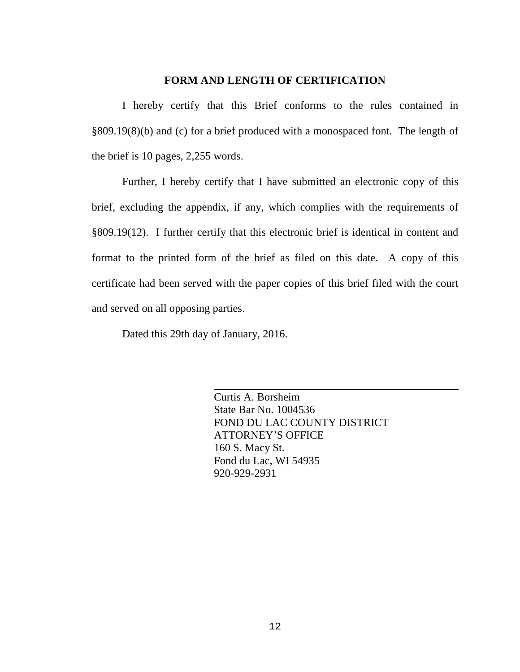### **FORM AND LENGTH OF CERTIFICATION**

I hereby certify that this Brief conforms to the rules contained in §809.19(8)(b) and (c) for a brief produced with a monospaced font. The length of the brief is 10 pages, 2,255 words.

Further, I hereby certify that I have submitted an electronic copy of this brief, excluding the appendix, if any, which complies with the requirements of §809.19(12). I further certify that this electronic brief is identical in content and format to the printed form of the brief as filed on this date. A copy of this certificate had been served with the paper copies of this brief filed with the court and served on all opposing parties.

Dated this 29th day of January, 2016.

Curtis A. Borsheim State Bar No. 1004536 FOND DU LAC COUNTY DISTRICT ATTORNEY'S OFFICE 160 S. Macy St. Fond du Lac, WI 54935 920-929-2931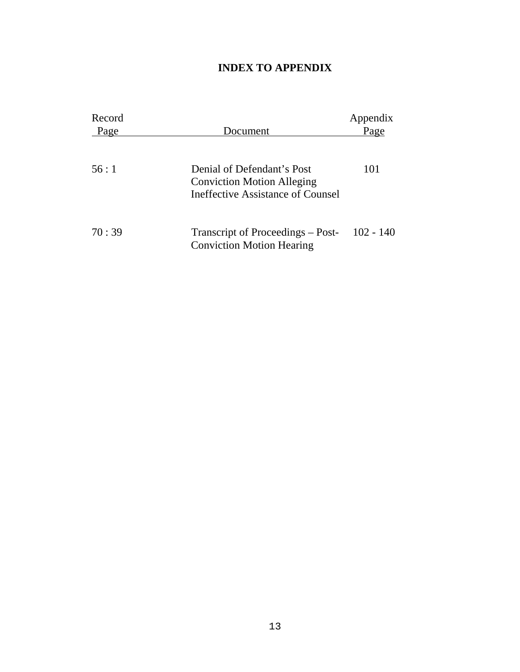## **INDEX TO APPENDIX**

| Record |                                                                       | Appendix    |
|--------|-----------------------------------------------------------------------|-------------|
| Page   | Document                                                              | Page        |
|        |                                                                       |             |
| 56:1   | Denial of Defendant's Post                                            | 101         |
|        | <b>Conviction Motion Alleging</b>                                     |             |
|        | Ineffective Assistance of Counsel                                     |             |
|        |                                                                       |             |
| 70:39  | Transcript of Proceedings – Post-<br><b>Conviction Motion Hearing</b> | $102 - 140$ |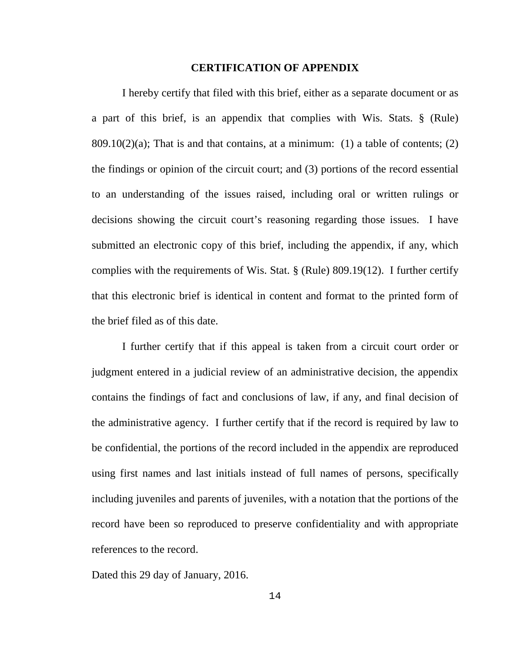#### **CERTIFICATION OF APPENDIX**

 I hereby certify that filed with this brief, either as a separate document or as a part of this brief, is an appendix that complies with Wis. Stats. § (Rule) 809.10(2)(a); That is and that contains, at a minimum: (1) a table of contents; (2) the findings or opinion of the circuit court; and (3) portions of the record essential to an understanding of the issues raised, including oral or written rulings or decisions showing the circuit court's reasoning regarding those issues. I have submitted an electronic copy of this brief, including the appendix, if any, which complies with the requirements of Wis. Stat. § (Rule) 809.19(12). I further certify that this electronic brief is identical in content and format to the printed form of the brief filed as of this date.

 I further certify that if this appeal is taken from a circuit court order or judgment entered in a judicial review of an administrative decision, the appendix contains the findings of fact and conclusions of law, if any, and final decision of the administrative agency. I further certify that if the record is required by law to be confidential, the portions of the record included in the appendix are reproduced using first names and last initials instead of full names of persons, specifically including juveniles and parents of juveniles, with a notation that the portions of the record have been so reproduced to preserve confidentiality and with appropriate references to the record.

Dated this 29 day of January, 2016.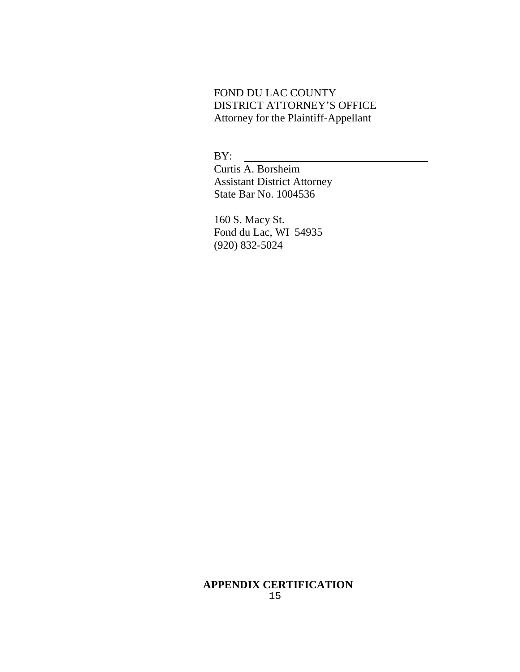## FOND DU LAC COUNTY DISTRICT ATTORNEY'S OFFICE Attorney for the Plaintiff-Appellant

BY:

 Curtis A. Borsheim Assistant District Attorney State Bar No. 1004536

 160 S. Macy St. Fond du Lac, WI 54935 (920) 832-5024

#### 15 **APPENDIX CERTIFICATION**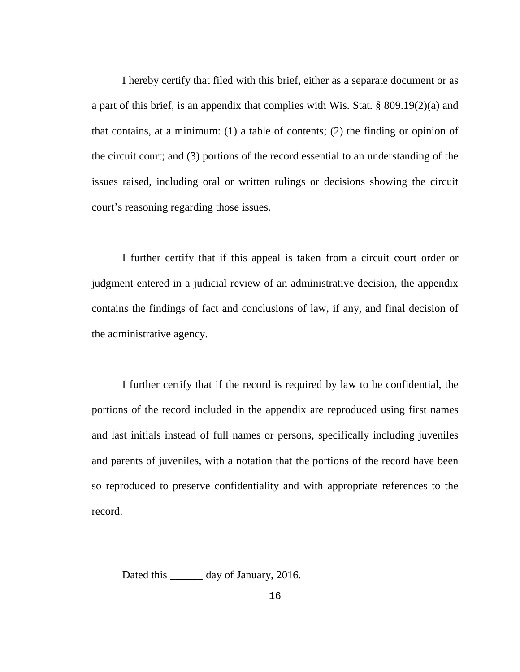I hereby certify that filed with this brief, either as a separate document or as a part of this brief, is an appendix that complies with Wis. Stat. § 809.19(2)(a) and that contains, at a minimum: (1) a table of contents; (2) the finding or opinion of the circuit court; and (3) portions of the record essential to an understanding of the issues raised, including oral or written rulings or decisions showing the circuit court's reasoning regarding those issues.

 I further certify that if this appeal is taken from a circuit court order or judgment entered in a judicial review of an administrative decision, the appendix contains the findings of fact and conclusions of law, if any, and final decision of the administrative agency.

 I further certify that if the record is required by law to be confidential, the portions of the record included in the appendix are reproduced using first names and last initials instead of full names or persons, specifically including juveniles and parents of juveniles, with a notation that the portions of the record have been so reproduced to preserve confidentiality and with appropriate references to the record.

Dated this \_\_\_\_\_\_\_ day of January, 2016.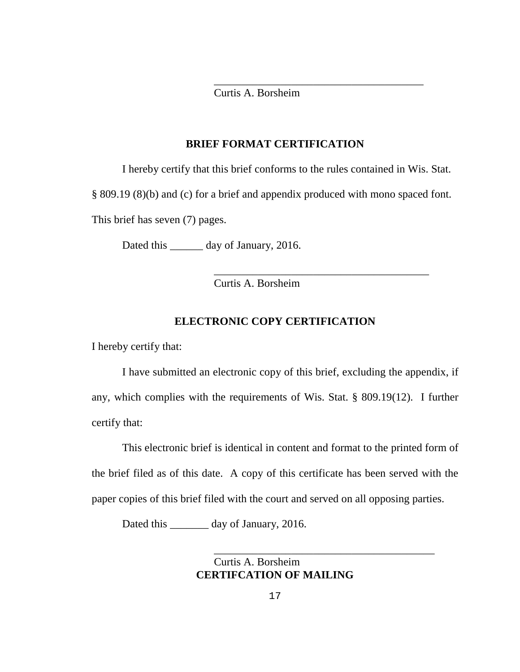$\overline{\phantom{a}}$  ,  $\overline{\phantom{a}}$  ,  $\overline{\phantom{a}}$  ,  $\overline{\phantom{a}}$  ,  $\overline{\phantom{a}}$  ,  $\overline{\phantom{a}}$  ,  $\overline{\phantom{a}}$  ,  $\overline{\phantom{a}}$  ,  $\overline{\phantom{a}}$  ,  $\overline{\phantom{a}}$  ,  $\overline{\phantom{a}}$  ,  $\overline{\phantom{a}}$  ,  $\overline{\phantom{a}}$  ,  $\overline{\phantom{a}}$  ,  $\overline{\phantom{a}}$  ,  $\overline{\phantom{a}}$ Curtis A. Borsheim

### **BRIEF FORMAT CERTIFICATION**

I hereby certify that this brief conforms to the rules contained in Wis. Stat.

§ 809.19 (8)(b) and (c) for a brief and appendix produced with mono spaced font.

This brief has seven (7) pages.

Dated this \_\_\_\_\_\_\_ day of January, 2016.

Curtis A. Borsheim

 $\overline{\phantom{a}}$  ,  $\overline{\phantom{a}}$  ,  $\overline{\phantom{a}}$  ,  $\overline{\phantom{a}}$  ,  $\overline{\phantom{a}}$  ,  $\overline{\phantom{a}}$  ,  $\overline{\phantom{a}}$  ,  $\overline{\phantom{a}}$  ,  $\overline{\phantom{a}}$  ,  $\overline{\phantom{a}}$  ,  $\overline{\phantom{a}}$  ,  $\overline{\phantom{a}}$  ,  $\overline{\phantom{a}}$  ,  $\overline{\phantom{a}}$  ,  $\overline{\phantom{a}}$  ,  $\overline{\phantom{a}}$ 

### **ELECTRONIC COPY CERTIFICATION**

I hereby certify that:

 I have submitted an electronic copy of this brief, excluding the appendix, if any, which complies with the requirements of Wis. Stat. § 809.19(12). I further certify that:

 This electronic brief is identical in content and format to the printed form of the brief filed as of this date. A copy of this certificate has been served with the paper copies of this brief filed with the court and served on all opposing parties.

Dated this day of January, 2016.

 Curtis A. Borsheim **CERTIFCATION OF MAILING** 

 $\overline{\phantom{a}}$  ,  $\overline{\phantom{a}}$  ,  $\overline{\phantom{a}}$  ,  $\overline{\phantom{a}}$  ,  $\overline{\phantom{a}}$  ,  $\overline{\phantom{a}}$  ,  $\overline{\phantom{a}}$  ,  $\overline{\phantom{a}}$  ,  $\overline{\phantom{a}}$  ,  $\overline{\phantom{a}}$  ,  $\overline{\phantom{a}}$  ,  $\overline{\phantom{a}}$  ,  $\overline{\phantom{a}}$  ,  $\overline{\phantom{a}}$  ,  $\overline{\phantom{a}}$  ,  $\overline{\phantom{a}}$